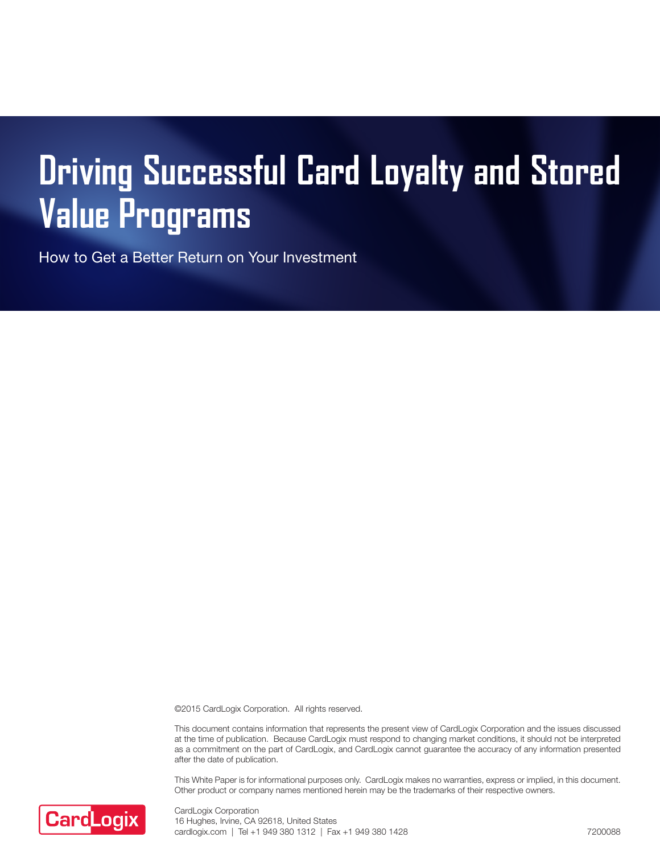# **Driving Successful Card Loyalty and Stored Value Programs**

How to Get a Better Return on Your Investment

©2015 CardLogix Corporation. All rights reserved.

This document contains information that represents the present view of CardLogix Corporation and the issues discussed at the time of publication. Because CardLogix must respond to changing market conditions, it should not be interpreted as a commitment on the part of CardLogix, and CardLogix cannot guarantee the accuracy of any information presented after the date of publication.

This White Paper is for informational purposes only. CardLogix makes no warranties, express or implied, in this document. Other product or company names mentioned herein may be the trademarks of their respective owners.



CardLogix Corporation 16 Hughes, Irvine, CA 92618, United States cardlogix.com | Tel +1 949 380 1312 | Fax +1 949 380 1428 7200088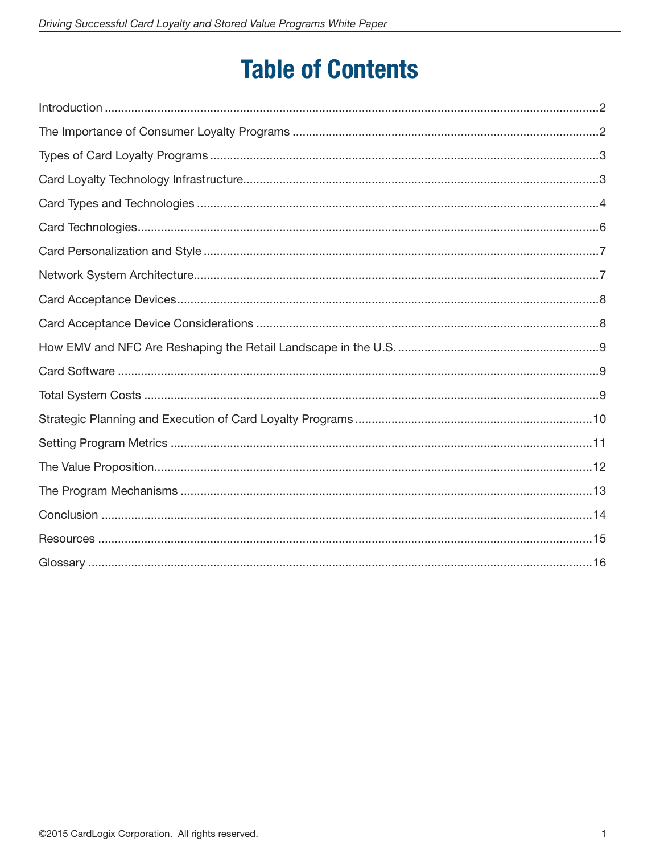# **Table of Contents**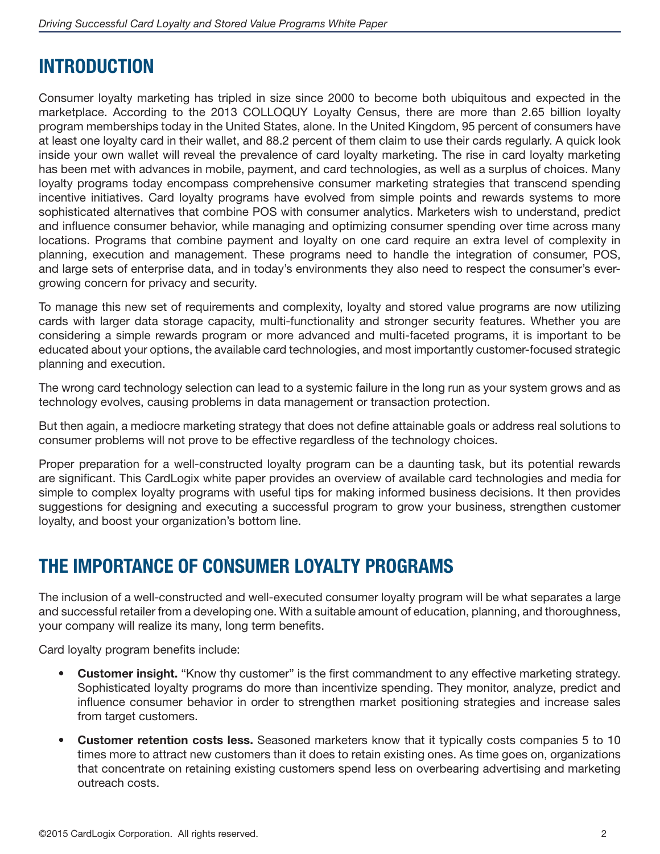### **INTRODUCTION**

Consumer loyalty marketing has tripled in size since 2000 to become both ubiquitous and expected in the marketplace. According to the 2013 COLLOQUY Loyalty Census, there are more than 2.65 billion loyalty program memberships today in the United States, alone. In the United Kingdom, 95 percent of consumers have at least one loyalty card in their wallet, and 88.2 percent of them claim to use their cards regularly. A quick look inside your own wallet will reveal the prevalence of card loyalty marketing. The rise in card loyalty marketing has been met with advances in mobile, payment, and card technologies, as well as a surplus of choices. Many loyalty programs today encompass comprehensive consumer marketing strategies that transcend spending incentive initiatives. Card loyalty programs have evolved from simple points and rewards systems to more sophisticated alternatives that combine POS with consumer analytics. Marketers wish to understand, predict and influence consumer behavior, while managing and optimizing consumer spending over time across many locations. Programs that combine payment and loyalty on one card require an extra level of complexity in planning, execution and management. These programs need to handle the integration of consumer, POS, and large sets of enterprise data, and in today's environments they also need to respect the consumer's evergrowing concern for privacy and security.

To manage this new set of requirements and complexity, loyalty and stored value programs are now utilizing cards with larger data storage capacity, multi-functionality and stronger security features. Whether you are considering a simple rewards program or more advanced and multi-faceted programs, it is important to be educated about your options, the available card technologies, and most importantly customer-focused strategic planning and execution.

The wrong card technology selection can lead to a systemic failure in the long run as your system grows and as technology evolves, causing problems in data management or transaction protection.

But then again, a mediocre marketing strategy that does not define attainable goals or address real solutions to consumer problems will not prove to be effective regardless of the technology choices.

Proper preparation for a well-constructed loyalty program can be a daunting task, but its potential rewards are significant. This CardLogix white paper provides an overview of available card technologies and media for simple to complex loyalty programs with useful tips for making informed business decisions. It then provides suggestions for designing and executing a successful program to grow your business, strengthen customer loyalty, and boost your organization's bottom line.

### **THE IMPORTANCE OF CONSUMER LOYALTY PROGRAMS**

The inclusion of a well-constructed and well-executed consumer loyalty program will be what separates a large and successful retailer from a developing one. With a suitable amount of education, planning, and thoroughness, your company will realize its many, long term benefits.

Card loyalty program benefits include:

- **Customer insight.** "Know thy customer" is the first commandment to any effective marketing strategy. Sophisticated loyalty programs do more than incentivize spending. They monitor, analyze, predict and influence consumer behavior in order to strengthen market positioning strategies and increase sales from target customers.
- **Customer retention costs less.** Seasoned marketers know that it typically costs companies 5 to 10 times more to attract new customers than it does to retain existing ones. As time goes on, organizations that concentrate on retaining existing customers spend less on overbearing advertising and marketing outreach costs.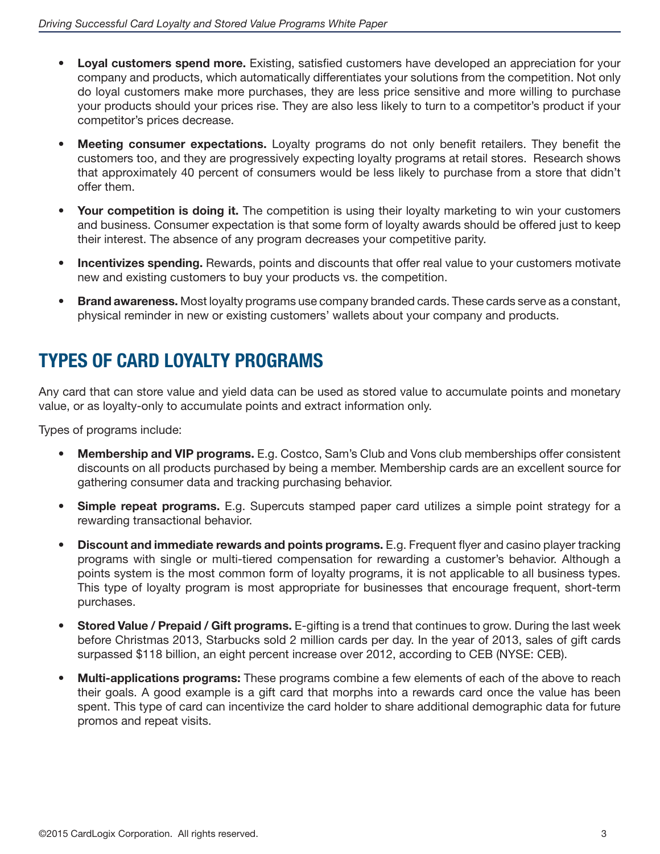- **Loyal customers spend more.** Existing, satisfied customers have developed an appreciation for your company and products, which automatically differentiates your solutions from the competition. Not only do loyal customers make more purchases, they are less price sensitive and more willing to purchase your products should your prices rise. They are also less likely to turn to a competitor's product if your competitor's prices decrease.
- **Meeting consumer expectations.** Loyalty programs do not only benefit retailers. They benefit the customers too, and they are progressively expecting loyalty programs at retail stores. Research shows that approximately 40 percent of consumers would be less likely to purchase from a store that didn't offer them.
- Your competition is doing it. The competition is using their loyalty marketing to win your customers and business. Consumer expectation is that some form of loyalty awards should be offered just to keep their interest. The absence of any program decreases your competitive parity.
- **Incentivizes spending.** Rewards, points and discounts that offer real value to your customers motivate new and existing customers to buy your products vs. the competition.
- **Brand awareness.** Most loyalty programs use company branded cards. These cards serve as a constant, physical reminder in new or existing customers' wallets about your company and products.

### **TYPES OF CARD LOYALTY PROGRAMS**

Any card that can store value and yield data can be used as stored value to accumulate points and monetary value, or as loyalty-only to accumulate points and extract information only.

Types of programs include:

- • **Membership and VIP programs.** E.g. Costco, Sam's Club and Vons club memberships offer consistent discounts on all products purchased by being a member. Membership cards are an excellent source for gathering consumer data and tracking purchasing behavior.
- • **Simple repeat programs.** E.g. Supercuts stamped paper card utilizes a simple point strategy for a rewarding transactional behavior.
- • **Discount and immediate rewards and points programs.** E.g. Frequent flyer and casino player tracking programs with single or multi-tiered compensation for rewarding a customer's behavior. Although a points system is the most common form of loyalty programs, it is not applicable to all business types. This type of loyalty program is most appropriate for businesses that encourage frequent, short-term purchases.
- **Stored Value / Prepaid / Gift programs.** E-gifting is a trend that continues to grow. During the last week before Christmas 2013, Starbucks sold 2 million cards per day. In the year of 2013, sales of gift cards surpassed \$118 billion, an eight percent increase over 2012, according to CEB (NYSE: CEB).
- **Multi-applications programs:** These programs combine a few elements of each of the above to reach their goals. A good example is a gift card that morphs into a rewards card once the value has been spent. This type of card can incentivize the card holder to share additional demographic data for future promos and repeat visits.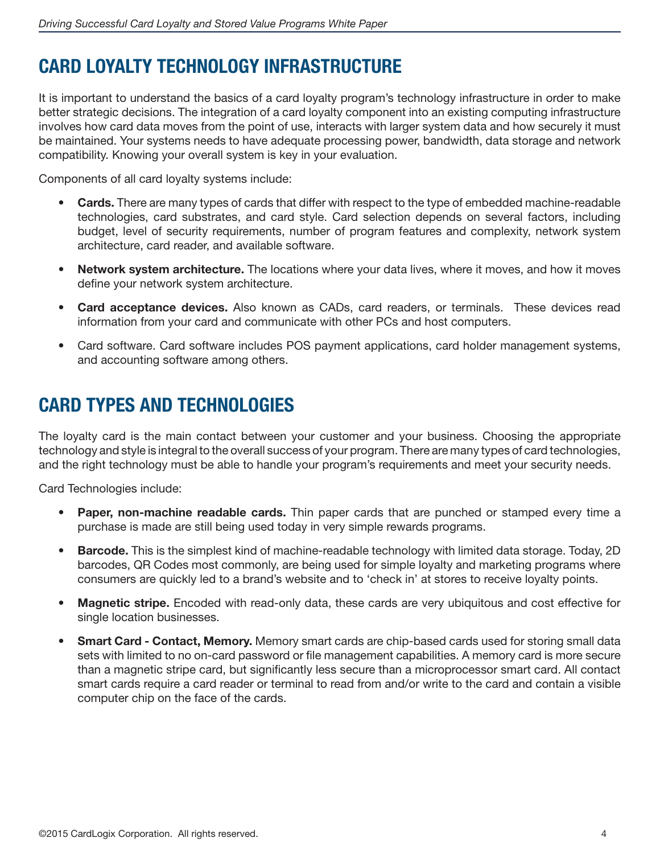# **CARD LOYALTY TECHNOLOGY INFRASTRUCTURE**

It is important to understand the basics of a card loyalty program's technology infrastructure in order to make better strategic decisions. The integration of a card loyalty component into an existing computing infrastructure involves how card data moves from the point of use, interacts with larger system data and how securely it must be maintained. Your systems needs to have adequate processing power, bandwidth, data storage and network compatibility. Knowing your overall system is key in your evaluation.

Components of all card loyalty systems include:

- **Cards.** There are many types of cards that differ with respect to the type of embedded machine-readable technologies, card substrates, and card style. Card selection depends on several factors, including budget, level of security requirements, number of program features and complexity, network system architecture, card reader, and available software.
- • **Network system architecture.** The locations where your data lives, where it moves, and how it moves define your network system architecture.
- • **Card acceptance devices.** Also known as CADs, card readers, or terminals. These devices read information from your card and communicate with other PCs and host computers.
- Card software. Card software includes POS payment applications, card holder management systems, and accounting software among others.

# **CARD TYPES AND TECHNOLOGIES**

The loyalty card is the main contact between your customer and your business. Choosing the appropriate technology and style is integral to the overall success of your program. There are many types of card technologies, and the right technology must be able to handle your program's requirements and meet your security needs.

Card Technologies include:

- **Paper, non-machine readable cards.** Thin paper cards that are punched or stamped every time a purchase is made are still being used today in very simple rewards programs.
- Barcode. This is the simplest kind of machine-readable technology with limited data storage. Today, 2D barcodes, QR Codes most commonly, are being used for simple loyalty and marketing programs where consumers are quickly led to a brand's website and to 'check in' at stores to receive loyalty points.
- • **Magnetic stripe.** Encoded with read-only data, these cards are very ubiquitous and cost effective for single location businesses.
- **Smart Card Contact, Memory.** Memory smart cards are chip-based cards used for storing small data sets with limited to no on-card password or file management capabilities. A memory card is more secure than a magnetic stripe card, but significantly less secure than a microprocessor smart card. All contact smart cards require a card reader or terminal to read from and/or write to the card and contain a visible computer chip on the face of the cards.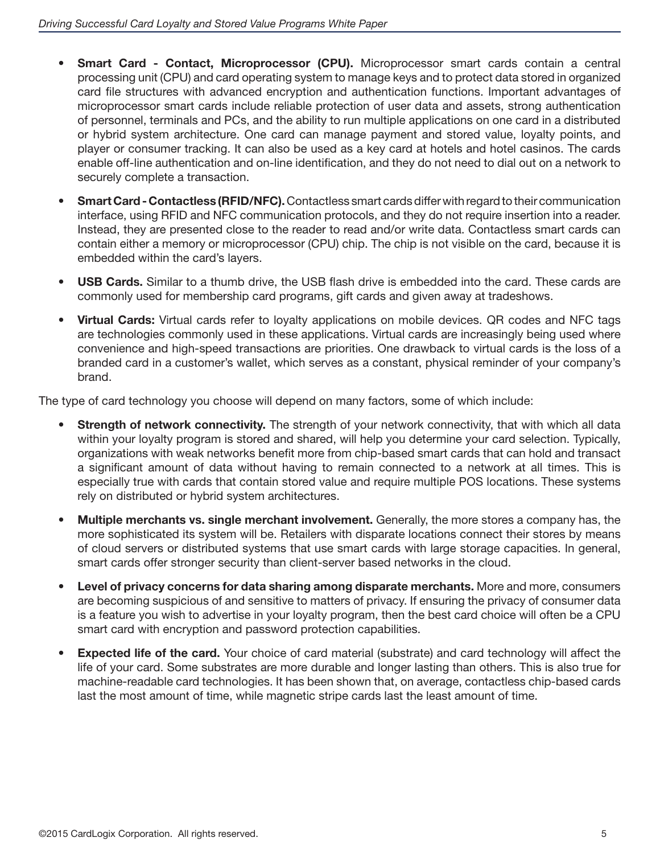- **Smart Card Contact, Microprocessor (CPU).** Microprocessor smart cards contain a central processing unit (CPU) and card operating system to manage keys and to protect data stored in organized card file structures with advanced encryption and authentication functions. Important advantages of microprocessor smart cards include reliable protection of user data and assets, strong authentication of personnel, terminals and PCs, and the ability to run multiple applications on one card in a distributed or hybrid system architecture. One card can manage payment and stored value, loyalty points, and player or consumer tracking. It can also be used as a key card at hotels and hotel casinos. The cards enable off-line authentication and on-line identification, and they do not need to dial out on a network to securely complete a transaction.
- • **Smart Card Contactless (RFID/NFC).** Contactless smart cards differ with regard to their communication interface, using RFID and NFC communication protocols, and they do not require insertion into a reader. Instead, they are presented close to the reader to read and/or write data. Contactless smart cards can contain either a memory or microprocessor (CPU) chip. The chip is not visible on the card, because it is embedded within the card's layers.
- **USB Cards.** Similar to a thumb drive, the USB flash drive is embedded into the card. These cards are commonly used for membership card programs, gift cards and given away at tradeshows.
- **Virtual Cards:** Virtual cards refer to loyalty applications on mobile devices. QR codes and NFC tags are technologies commonly used in these applications. Virtual cards are increasingly being used where convenience and high-speed transactions are priorities. One drawback to virtual cards is the loss of a branded card in a customer's wallet, which serves as a constant, physical reminder of your company's brand.

The type of card technology you choose will depend on many factors, some of which include:

- **Strength of network connectivity.** The strength of your network connectivity, that with which all data within your loyalty program is stored and shared, will help you determine your card selection. Typically, organizations with weak networks benefit more from chip-based smart cards that can hold and transact a significant amount of data without having to remain connected to a network at all times. This is especially true with cards that contain stored value and require multiple POS locations. These systems rely on distributed or hybrid system architectures.
- • **Multiple merchants vs. single merchant involvement.** Generally, the more stores a company has, the more sophisticated its system will be. Retailers with disparate locations connect their stores by means of cloud servers or distributed systems that use smart cards with large storage capacities. In general, smart cards offer stronger security than client-server based networks in the cloud.
- • **Level of privacy concerns for data sharing among disparate merchants.** More and more, consumers are becoming suspicious of and sensitive to matters of privacy. If ensuring the privacy of consumer data is a feature you wish to advertise in your loyalty program, then the best card choice will often be a CPU smart card with encryption and password protection capabilities.
- **Expected life of the card.** Your choice of card material (substrate) and card technology will affect the life of your card. Some substrates are more durable and longer lasting than others. This is also true for machine-readable card technologies. It has been shown that, on average, contactless chip-based cards last the most amount of time, while magnetic stripe cards last the least amount of time.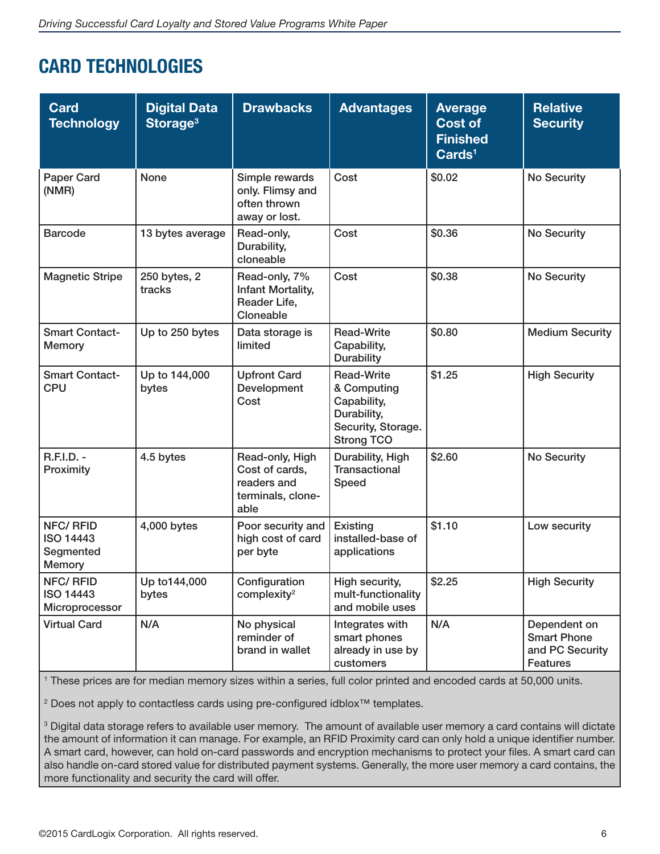### **CARD TECHNOLOGIES**

| <b>Card</b><br><b>Technology</b>                                  | <b>Digital Data</b><br>Storage <sup>3</sup> | <b>Drawbacks</b>                                                              | <b>Advantages</b>                                                                                         | <b>Average</b><br><b>Cost of</b><br><b>Finished</b><br>Cards <sup>1</sup> | <b>Relative</b><br><b>Security</b>                                       |
|-------------------------------------------------------------------|---------------------------------------------|-------------------------------------------------------------------------------|-----------------------------------------------------------------------------------------------------------|---------------------------------------------------------------------------|--------------------------------------------------------------------------|
| <b>Paper Card</b><br>(NMR)                                        | <b>None</b>                                 | Simple rewards<br>only. Flimsy and<br>often thrown<br>away or lost.           | Cost                                                                                                      | \$0.02                                                                    | <b>No Security</b>                                                       |
| <b>Barcode</b>                                                    | 13 bytes average                            | Read-only,<br>Durability,<br>cloneable                                        | Cost                                                                                                      | \$0.36                                                                    | <b>No Security</b>                                                       |
| <b>Magnetic Stripe</b>                                            | 250 bytes, 2<br>tracks                      | Read-only, 7%<br>Infant Mortality,<br>Reader Life,<br>Cloneable               | Cost                                                                                                      | \$0.38                                                                    | <b>No Security</b>                                                       |
| <b>Smart Contact-</b><br><b>Memory</b>                            | Up to 250 bytes                             | Data storage is<br>limited                                                    | <b>Read-Write</b><br>Capability,<br><b>Durability</b>                                                     | \$0.80                                                                    | <b>Medium Security</b>                                                   |
| <b>Smart Contact-</b><br><b>CPU</b>                               | Up to 144,000<br>bytes                      | <b>Upfront Card</b><br>Development<br>Cost                                    | <b>Read-Write</b><br>& Computing<br>Capability,<br>Durability,<br>Security, Storage.<br><b>Strong TCO</b> | \$1.25                                                                    | <b>High Security</b>                                                     |
| <b>R.F.I.D. -</b><br>Proximity                                    | 4.5 bytes                                   | Read-only, High<br>Cost of cards,<br>readers and<br>terminals, clone-<br>able | Durability, High<br><b>Transactional</b><br>Speed                                                         | \$2.60                                                                    | <b>No Security</b>                                                       |
| <b>NFC/RFID</b><br><b>ISO 14443</b><br>Segmented<br><b>Memory</b> | 4,000 bytes                                 | Poor security and<br>high cost of card<br>per byte                            | Existing<br>installed-base of<br>applications                                                             | \$1.10                                                                    | Low security                                                             |
| <b>NFC/RFID</b><br>ISO 14443<br>Microprocessor                    | Up to144,000<br>bytes                       | Configuration<br>complexity <sup>2</sup>                                      | High security,<br>mult-functionality<br>and mobile uses                                                   | \$2.25                                                                    | <b>High Security</b>                                                     |
| <b>Virtual Card</b>                                               | N/A                                         | No physical<br>reminder of<br>brand in wallet                                 | Integrates with<br>smart phones<br>already in use by<br>customers                                         | N/A                                                                       | Dependent on<br><b>Smart Phone</b><br>and PC Security<br><b>Features</b> |

1 These prices are for median memory sizes within a series, full color printed and encoded cards at 50,000 units.

<sup>2</sup> Does not apply to contactless cards using pre-configured idblox<sup>™</sup> templates.

3 Digital data storage refers to available user memory. The amount of available user memory a card contains will dictate the amount of information it can manage. For example, an RFID Proximity card can only hold a unique identifier number. A smart card, however, can hold on-card passwords and encryption mechanisms to protect your files. A smart card can also handle on-card stored value for distributed payment systems. Generally, the more user memory a card contains, the more functionality and security the card will offer.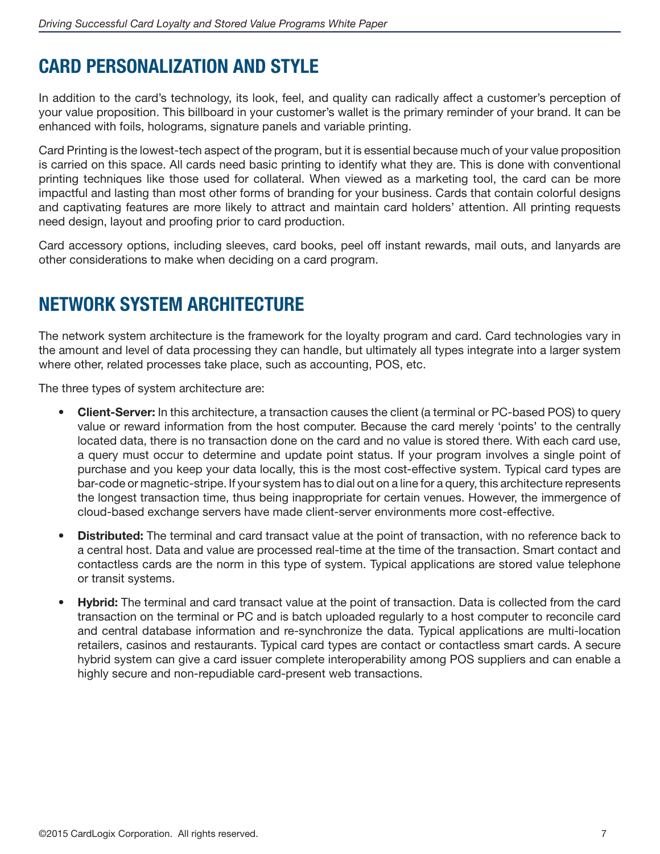### **CARD PERSONALIZATION AND STYLE**

In addition to the card's technology, its look, feel, and quality can radically affect a customer's perception of your value proposition. This billboard in your customer's wallet is the primary reminder of your brand. It can be enhanced with foils, holograms, signature panels and variable printing.

Card Printing is the lowest-tech aspect of the program, but it is essential because much of your value proposition is carried on this space. All cards need basic printing to identify what they are. This is done with conventional printing techniques like those used for collateral. When viewed as a marketing tool, the card can be more impactful and lasting than most other forms of branding for your business. Cards that contain colorful designs and captivating features are more likely to attract and maintain card holders' attention. All printing requests need design, layout and proofing prior to card production.

Card accessory options, including sleeves, card books, peel off instant rewards, mail outs, and lanyards are other considerations to make when deciding on a card program.

### **NETWORK SYSTEM ARCHITECTURE**

The network system architecture is the framework for the loyalty program and card. Card technologies vary in the amount and level of data processing they can handle, but ultimately all types integrate into a larger system where other, related processes take place, such as accounting, POS, etc.

The three types of system architecture are:

- • **Client-Server:** In this architecture, a transaction causes the client (a terminal or PC-based POS) to query value or reward information from the host computer. Because the card merely 'points' to the centrally located data, there is no transaction done on the card and no value is stored there. With each card use, a query must occur to determine and update point status. If your program involves a single point of purchase and you keep your data locally, this is the most cost-effective system. Typical card types are bar-code or magnetic-stripe. If your system has to dial out on a line for a query, this architecture represents the longest transaction time, thus being inappropriate for certain venues. However, the immergence of cloud-based exchange servers have made client-server environments more cost-effective.
- **Distributed:** The terminal and card transact value at the point of transaction, with no reference back to a central host. Data and value are processed real-time at the time of the transaction. Smart contact and contactless cards are the norm in this type of system. Typical applications are stored value telephone or transit systems.
- **Hybrid:** The terminal and card transact value at the point of transaction. Data is collected from the card transaction on the terminal or PC and is batch uploaded regularly to a host computer to reconcile card and central database information and re-synchronize the data. Typical applications are multi-location retailers, casinos and restaurants. Typical card types are contact or contactless smart cards. A secure hybrid system can give a card issuer complete interoperability among POS suppliers and can enable a highly secure and non-repudiable card-present web transactions.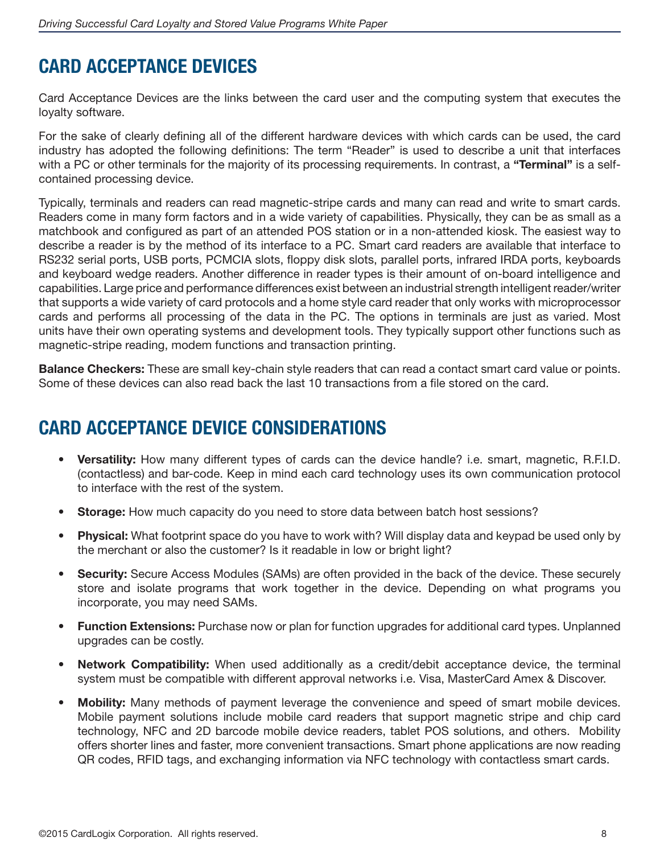### **CARD ACCEPTANCE DEVICES**

Card Acceptance Devices are the links between the card user and the computing system that executes the loyalty software.

For the sake of clearly defining all of the different hardware devices with which cards can be used, the card industry has adopted the following definitions: The term "Reader" is used to describe a unit that interfaces with a PC or other terminals for the majority of its processing requirements. In contrast, a **"Terminal"** is a selfcontained processing device.

Typically, terminals and readers can read magnetic-stripe cards and many can read and write to smart cards. Readers come in many form factors and in a wide variety of capabilities. Physically, they can be as small as a matchbook and configured as part of an attended POS station or in a non-attended kiosk. The easiest way to describe a reader is by the method of its interface to a PC. Smart card readers are available that interface to RS232 serial ports, USB ports, PCMCIA slots, floppy disk slots, parallel ports, infrared IRDA ports, keyboards and keyboard wedge readers. Another difference in reader types is their amount of on-board intelligence and capabilities. Large price and performance differences exist between an industrial strength intelligent reader/writer that supports a wide variety of card protocols and a home style card reader that only works with microprocessor cards and performs all processing of the data in the PC. The options in terminals are just as varied. Most units have their own operating systems and development tools. They typically support other functions such as magnetic-stripe reading, modem functions and transaction printing.

**Balance Checkers:** These are small key-chain style readers that can read a contact smart card value or points. Some of these devices can also read back the last 10 transactions from a file stored on the card.

### **CARD ACCEPTANCE DEVICE CONSIDERATIONS**

- • **Versatility:** How many different types of cards can the device handle? i.e. smart, magnetic, R.F.I.D. (contactless) and bar-code. Keep in mind each card technology uses its own communication protocol to interface with the rest of the system.
- **Storage:** How much capacity do you need to store data between batch host sessions?
- **Physical:** What footprint space do you have to work with? Will display data and keypad be used only by the merchant or also the customer? Is it readable in low or bright light?
- **Security:** Secure Access Modules (SAMs) are often provided in the back of the device. These securely store and isolate programs that work together in the device. Depending on what programs you incorporate, you may need SAMs.
- **Function Extensions:** Purchase now or plan for function upgrades for additional card types. Unplanned upgrades can be costly.
- **Network Compatibility:** When used additionally as a credit/debit acceptance device, the terminal system must be compatible with different approval networks i.e. Visa, MasterCard Amex & Discover.
- **Mobility:** Many methods of payment leverage the convenience and speed of smart mobile devices. Mobile payment solutions include mobile card readers that support magnetic stripe and chip card technology, NFC and 2D barcode mobile device readers, tablet POS solutions, and others. Mobility offers shorter lines and faster, more convenient transactions. Smart phone applications are now reading QR codes, RFID tags, and exchanging information via NFC technology with contactless smart cards.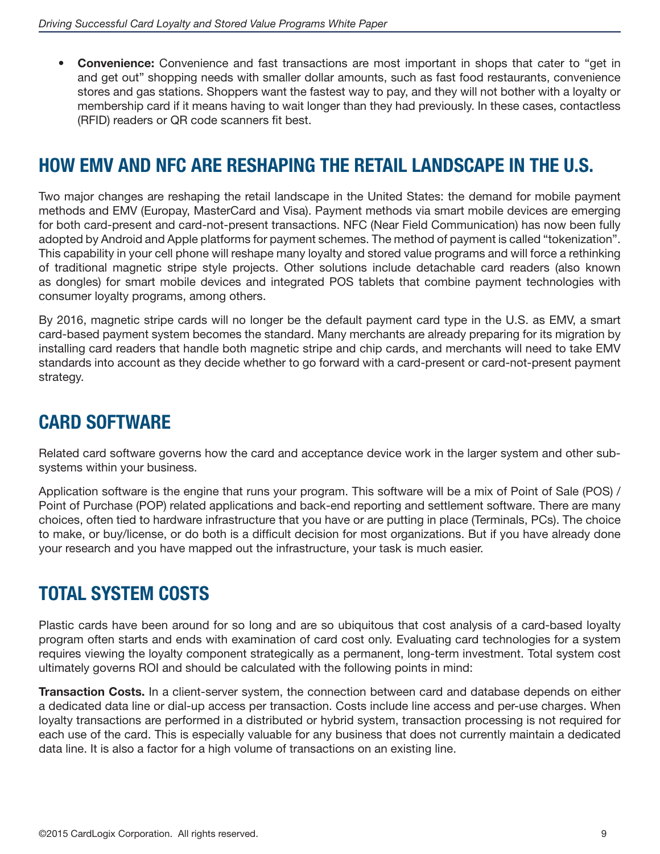• **Convenience:** Convenience and fast transactions are most important in shops that cater to "get in and get out" shopping needs with smaller dollar amounts, such as fast food restaurants, convenience stores and gas stations. Shoppers want the fastest way to pay, and they will not bother with a loyalty or membership card if it means having to wait longer than they had previously. In these cases, contactless (RFID) readers or QR code scanners fit best.

### **HOW EMV AND NFC ARE RESHAPING THE RETAIL LANDSCAPE IN THE U.S.**

Two major changes are reshaping the retail landscape in the United States: the demand for mobile payment methods and EMV (Europay, MasterCard and Visa). Payment methods via smart mobile devices are emerging for both card-present and card-not-present transactions. NFC (Near Field Communication) has now been fully adopted by Android and Apple platforms for payment schemes. The method of payment is called "tokenization". This capability in your cell phone will reshape many loyalty and stored value programs and will force a rethinking of traditional magnetic stripe style projects. Other solutions include detachable card readers (also known as dongles) for smart mobile devices and integrated POS tablets that combine payment technologies with consumer loyalty programs, among others.

By 2016, magnetic stripe cards will no longer be the default payment card type in the U.S. as EMV, a smart card-based payment system becomes the standard. Many merchants are already preparing for its migration by installing card readers that handle both magnetic stripe and chip cards, and merchants will need to take EMV standards into account as they decide whether to go forward with a card-present or card-not-present payment strategy.

### **CARD SOFTWARE**

Related card software governs how the card and acceptance device work in the larger system and other subsystems within your business.

Application software is the engine that runs your program. This software will be a mix of Point of Sale (POS) / Point of Purchase (POP) related applications and back-end reporting and settlement software. There are many choices, often tied to hardware infrastructure that you have or are putting in place (Terminals, PCs). The choice to make, or buy/license, or do both is a difficult decision for most organizations. But if you have already done your research and you have mapped out the infrastructure, your task is much easier.

### **TOTAL SYSTEM COSTS**

Plastic cards have been around for so long and are so ubiquitous that cost analysis of a card-based loyalty program often starts and ends with examination of card cost only. Evaluating card technologies for a system requires viewing the loyalty component strategically as a permanent, long-term investment. Total system cost ultimately governs ROI and should be calculated with the following points in mind:

**Transaction Costs.** In a client-server system, the connection between card and database depends on either a dedicated data line or dial-up access per transaction. Costs include line access and per-use charges. When loyalty transactions are performed in a distributed or hybrid system, transaction processing is not required for each use of the card. This is especially valuable for any business that does not currently maintain a dedicated data line. It is also a factor for a high volume of transactions on an existing line.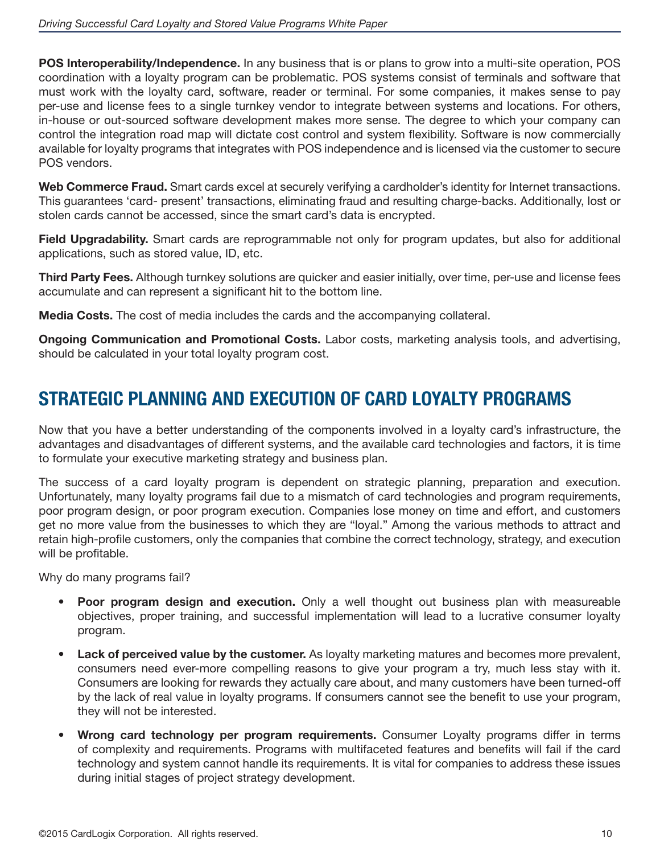**POS Interoperability/Independence.** In any business that is or plans to grow into a multi-site operation, POS coordination with a loyalty program can be problematic. POS systems consist of terminals and software that must work with the loyalty card, software, reader or terminal. For some companies, it makes sense to pay per-use and license fees to a single turnkey vendor to integrate between systems and locations. For others, in-house or out-sourced software development makes more sense. The degree to which your company can control the integration road map will dictate cost control and system flexibility. Software is now commercially available for loyalty programs that integrates with POS independence and is licensed via the customer to secure POS vendors.

**Web Commerce Fraud.** Smart cards excel at securely verifying a cardholder's identity for Internet transactions. This guarantees 'card- present' transactions, eliminating fraud and resulting charge-backs. Additionally, lost or stolen cards cannot be accessed, since the smart card's data is encrypted.

**Field Upgradability.** Smart cards are reprogrammable not only for program updates, but also for additional applications, such as stored value, ID, etc.

**Third Party Fees.** Although turnkey solutions are quicker and easier initially, over time, per-use and license fees accumulate and can represent a significant hit to the bottom line.

**Media Costs.** The cost of media includes the cards and the accompanying collateral.

**Ongoing Communication and Promotional Costs.** Labor costs, marketing analysis tools, and advertising, should be calculated in your total loyalty program cost.

### **STRATEGIC PLANNING AND EXECUTION OF CARD LOYALTY PROGRAMS**

Now that you have a better understanding of the components involved in a loyalty card's infrastructure, the advantages and disadvantages of different systems, and the available card technologies and factors, it is time to formulate your executive marketing strategy and business plan.

The success of a card loyalty program is dependent on strategic planning, preparation and execution. Unfortunately, many loyalty programs fail due to a mismatch of card technologies and program requirements, poor program design, or poor program execution. Companies lose money on time and effort, and customers get no more value from the businesses to which they are "loyal." Among the various methods to attract and retain high-profile customers, only the companies that combine the correct technology, strategy, and execution will be profitable.

Why do many programs fail?

- • **Poor program design and execution.** Only a well thought out business plan with measureable objectives, proper training, and successful implementation will lead to a lucrative consumer loyalty program.
- • **Lack of perceived value by the customer.** As loyalty marketing matures and becomes more prevalent, consumers need ever-more compelling reasons to give your program a try, much less stay with it. Consumers are looking for rewards they actually care about, and many customers have been turned-off by the lack of real value in loyalty programs. If consumers cannot see the benefit to use your program, they will not be interested.
- Wrong card technology per program requirements. Consumer Loyalty programs differ in terms of complexity and requirements. Programs with multifaceted features and benefits will fail if the card technology and system cannot handle its requirements. It is vital for companies to address these issues during initial stages of project strategy development.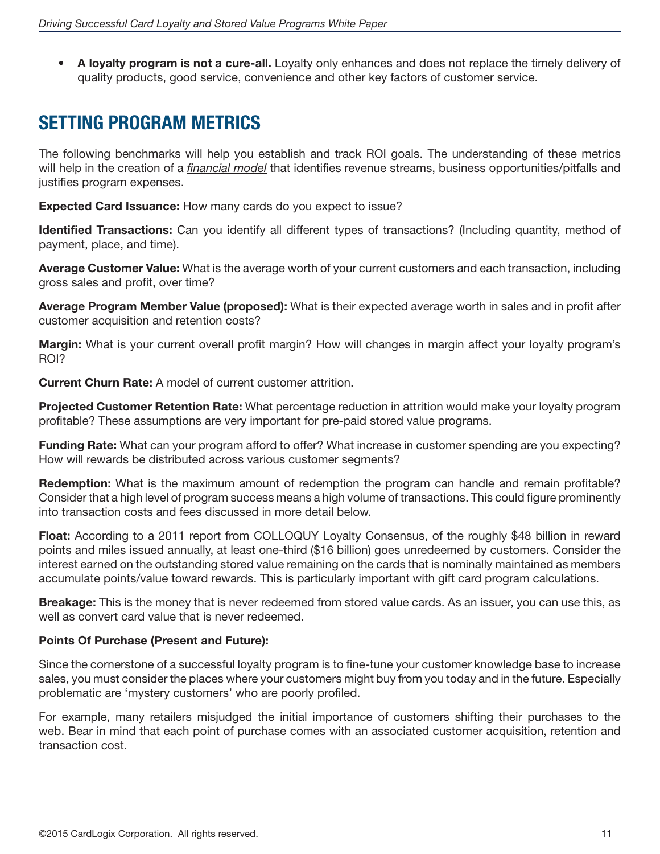A loyalty program is not a cure-all. Loyalty only enhances and does not replace the timely delivery of quality products, good service, convenience and other key factors of customer service.

### **SETTING PROGRAM METRICS**

The following benchmarks will help you establish and track ROI goals. The understanding of these metrics will help in the creation of a *financial model* that identifies revenue streams, business opportunities/pitfalls and justifies program expenses.

**Expected Card Issuance:** How many cards do you expect to issue?

**Identified Transactions:** Can you identify all different types of transactions? (Including quantity, method of payment, place, and time).

**Average Customer Value:** What is the average worth of your current customers and each transaction, including gross sales and profit, over time?

**Average Program Member Value (proposed):** What is their expected average worth in sales and in profit after customer acquisition and retention costs?

**Margin:** What is your current overall profit margin? How will changes in margin affect your loyalty program's ROI?

**Current Churn Rate:** A model of current customer attrition.

**Projected Customer Retention Rate:** What percentage reduction in attrition would make your loyalty program profitable? These assumptions are very important for pre-paid stored value programs.

**Funding Rate:** What can your program afford to offer? What increase in customer spending are you expecting? How will rewards be distributed across various customer segments?

**Redemption:** What is the maximum amount of redemption the program can handle and remain profitable? Consider that a high level of program success means a high volume of transactions. This could figure prominently into transaction costs and fees discussed in more detail below.

**Float:** According to a 2011 report from COLLOQUY Loyalty Consensus, of the roughly \$48 billion in reward points and miles issued annually, at least one-third (\$16 billion) goes unredeemed by customers. Consider the interest earned on the outstanding stored value remaining on the cards that is nominally maintained as members accumulate points/value toward rewards. This is particularly important with gift card program calculations.

**Breakage:** This is the money that is never redeemed from stored value cards. As an issuer, you can use this, as well as convert card value that is never redeemed.

### **Points Of Purchase (Present and Future):**

Since the cornerstone of a successful loyalty program is to fine-tune your customer knowledge base to increase sales, you must consider the places where your customers might buy from you today and in the future. Especially problematic are 'mystery customers' who are poorly profiled.

For example, many retailers misjudged the initial importance of customers shifting their purchases to the web. Bear in mind that each point of purchase comes with an associated customer acquisition, retention and transaction cost.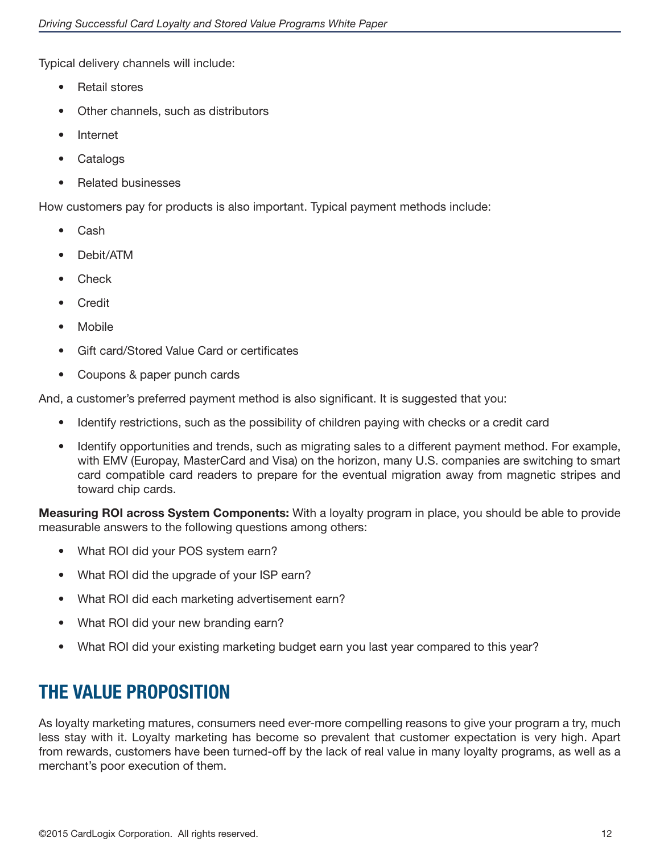Typical delivery channels will include:

- **Retail stores**
- Other channels, such as distributors
- **Internet**
- **Catalogs**
- • Related businesses

How customers pay for products is also important. Typical payment methods include:

- **Cash**
- Debit/ATM
- **Check**
- **Credit**
- **Mobile**
- Gift card/Stored Value Card or certificates
- Coupons & paper punch cards

And, a customer's preferred payment method is also significant. It is suggested that you:

- Identify restrictions, such as the possibility of children paying with checks or a credit card
- Identify opportunities and trends, such as migrating sales to a different payment method. For example, with EMV (Europay, MasterCard and Visa) on the horizon, many U.S. companies are switching to smart card compatible card readers to prepare for the eventual migration away from magnetic stripes and toward chip cards.

**Measuring ROI across System Components:** With a loyalty program in place, you should be able to provide measurable answers to the following questions among others:

- What ROI did your POS system earn?
- What ROI did the upgrade of your ISP earn?
- What ROI did each marketing advertisement earn?
- What ROI did your new branding earn?
- What ROI did your existing marketing budget earn you last year compared to this year?

### **THE VALUE PROPOSITION**

As loyalty marketing matures, consumers need ever-more compelling reasons to give your program a try, much less stay with it. Loyalty marketing has become so prevalent that customer expectation is very high. Apart from rewards, customers have been turned-off by the lack of real value in many loyalty programs, as well as a merchant's poor execution of them.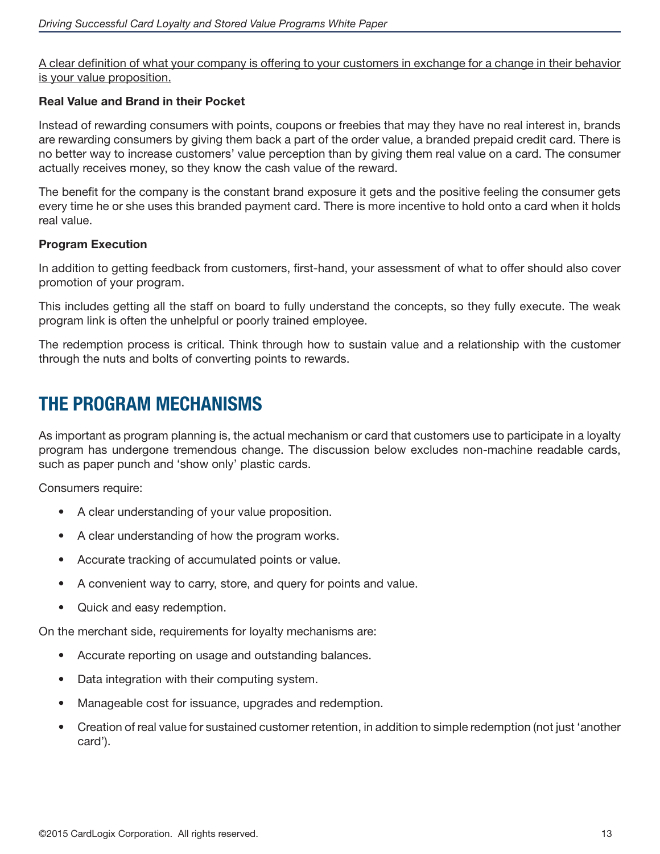A clear definition of what your company is offering to your customers in exchange for a change in their behavior is your value proposition.

### **Real Value and Brand in their Pocket**

Instead of rewarding consumers with points, coupons or freebies that may they have no real interest in, brands are rewarding consumers by giving them back a part of the order value, a branded prepaid credit card. There is no better way to increase customers' value perception than by giving them real value on a card. The consumer actually receives money, so they know the cash value of the reward.

The benefit for the company is the constant brand exposure it gets and the positive feeling the consumer gets every time he or she uses this branded payment card. There is more incentive to hold onto a card when it holds real value.

#### **Program Execution**

In addition to getting feedback from customers, first-hand, your assessment of what to offer should also cover promotion of your program.

This includes getting all the staff on board to fully understand the concepts, so they fully execute. The weak program link is often the unhelpful or poorly trained employee.

The redemption process is critical. Think through how to sustain value and a relationship with the customer through the nuts and bolts of converting points to rewards.

### **THE PROGRAM MECHANISMS**

As important as program planning is, the actual mechanism or card that customers use to participate in a loyalty program has undergone tremendous change. The discussion below excludes non-machine readable cards, such as paper punch and 'show only' plastic cards.

Consumers require:

- A clear understanding of your value proposition.
- A clear understanding of how the program works.
- Accurate tracking of accumulated points or value.
- A convenient way to carry, store, and query for points and value.
- Quick and easy redemption.

On the merchant side, requirements for loyalty mechanisms are:

- Accurate reporting on usage and outstanding balances.
- Data integration with their computing system.
- Manageable cost for issuance, upgrades and redemption.
- Creation of real value for sustained customer retention, in addition to simple redemption (not just 'another card').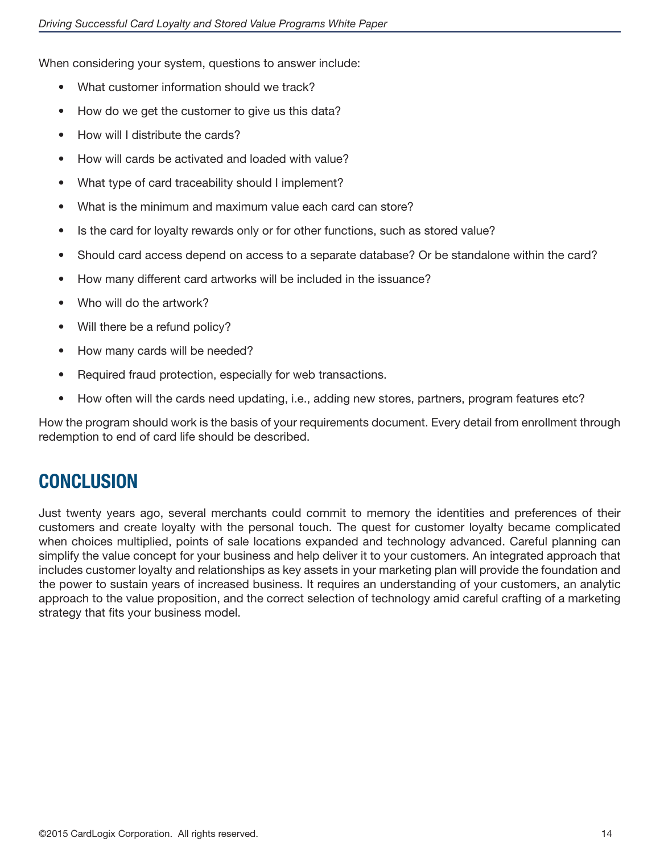When considering your system, questions to answer include:

- What customer information should we track?
- How do we get the customer to give us this data?
- How will I distribute the cards?
- How will cards be activated and loaded with value?
- What type of card traceability should I implement?
- What is the minimum and maximum value each card can store?
- Is the card for loyalty rewards only or for other functions, such as stored value?
- Should card access depend on access to a separate database? Or be standalone within the card?
- How many different card artworks will be included in the issuance?
- Who will do the artwork?
- Will there be a refund policy?
- How many cards will be needed?
- Required fraud protection, especially for web transactions.
- How often will the cards need updating, i.e., adding new stores, partners, program features etc?

How the program should work is the basis of your requirements document. Every detail from enrollment through redemption to end of card life should be described.

### **CONCLUSION**

Just twenty years ago, several merchants could commit to memory the identities and preferences of their customers and create loyalty with the personal touch. The quest for customer loyalty became complicated when choices multiplied, points of sale locations expanded and technology advanced. Careful planning can simplify the value concept for your business and help deliver it to your customers. An integrated approach that includes customer loyalty and relationships as key assets in your marketing plan will provide the foundation and the power to sustain years of increased business. It requires an understanding of your customers, an analytic approach to the value proposition, and the correct selection of technology amid careful crafting of a marketing strategy that fits your business model.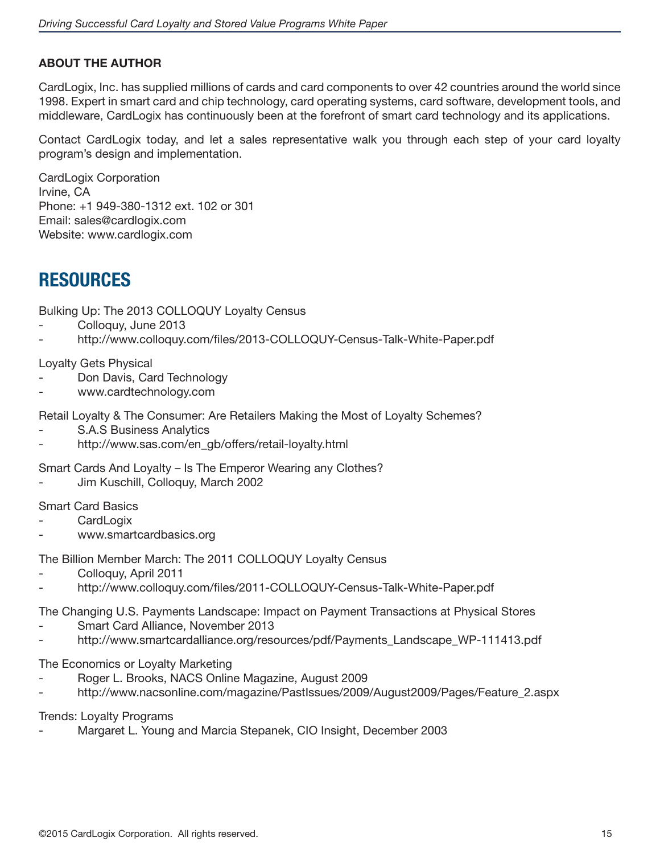### **ABOUT THE AUTHOR**

CardLogix, Inc. has supplied millions of cards and card components to over 42 countries around the world since 1998. Expert in smart card and chip technology, card operating systems, card software, development tools, and middleware, CardLogix has continuously been at the forefront of smart card technology and its applications.

Contact CardLogix today, and let a sales representative walk you through each step of your card loyalty program's design and implementation.

CardLogix Corporation Irvine, CA Phone: +1 949-380-1312 ext. 102 or 301 Email: sales@cardlogix.com Website: www.cardlogix.com

### **RESOURCES**

Bulking Up: The 2013 COLLOQUY Loyalty Census

- Colloquy, June 2013
- http://www.colloquy.com/files/2013-COLLOQUY-Census-Talk-White-Paper.pdf

Loyalty Gets Physical

- Don Davis, Card Technology
- www.cardtechnology.com

Retail Loyalty & The Consumer: Are Retailers Making the Most of Loyalty Schemes?

- S.A.S Business Analytics
- http://www.sas.com/en\_gb/offers/retail-loyalty.html

Smart Cards And Loyalty – Is The Emperor Wearing any Clothes?

Jim Kuschill, Colloquy, March 2002

Smart Card Basics

- **CardLogix**
- www.smartcardbasics.org

The Billion Member March: The 2011 COLLOQUY Loyalty Census

- Colloquy, April 2011
- http://www.colloquy.com/files/2011-COLLOQUY-Census-Talk-White-Paper.pdf

The Changing U.S. Payments Landscape: Impact on Payment Transactions at Physical Stores

- Smart Card Alliance, November 2013
- http://www.smartcardalliance.org/resources/pdf/Payments\_Landscape\_WP-111413.pdf

The Economics or Loyalty Marketing

- Roger L. Brooks, NACS Online Magazine, August 2009
- http://www.nacsonline.com/magazine/PastIssues/2009/August2009/Pages/Feature\_2.aspx

Trends: Loyalty Programs

Margaret L. Young and Marcia Stepanek, CIO Insight, December 2003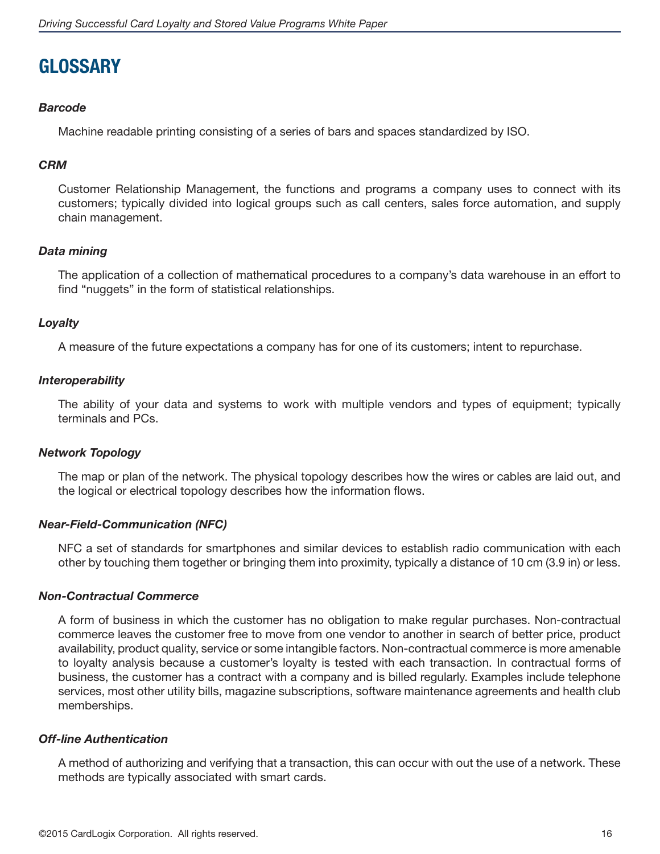### **GLOSSARY**

### *Barcode*

Machine readable printing consisting of a series of bars and spaces standardized by ISO.

#### *CRM*

Customer Relationship Management, the functions and programs a company uses to connect with its customers; typically divided into logical groups such as call centers, sales force automation, and supply chain management.

### *Data mining*

The application of a collection of mathematical procedures to a company's data warehouse in an effort to find "nuggets" in the form of statistical relationships.

### *Loyalty*

A measure of the future expectations a company has for one of its customers; intent to repurchase.

#### *Interoperability*

The ability of your data and systems to work with multiple vendors and types of equipment; typically terminals and PCs.

### *Network Topology*

The map or plan of the network. The physical topology describes how the wires or cables are laid out, and the logical or electrical topology describes how the information flows.

#### *Near-Field-Communication (NFC)*

NFC a set of standards for smartphones and similar devices to establish radio communication with each other by touching them together or bringing them into proximity, typically a distance of 10 cm (3.9 in) or less.

#### *Non-Contractual Commerce*

A form of business in which the customer has no obligation to make regular purchases. Non-contractual commerce leaves the customer free to move from one vendor to another in search of better price, product availability, product quality, service or some intangible factors. Non-contractual commerce is more amenable to loyalty analysis because a customer's loyalty is tested with each transaction. In contractual forms of business, the customer has a contract with a company and is billed regularly. Examples include telephone services, most other utility bills, magazine subscriptions, software maintenance agreements and health club memberships.

#### *Off-line Authentication*

A method of authorizing and verifying that a transaction, this can occur with out the use of a network. These methods are typically associated with smart cards.